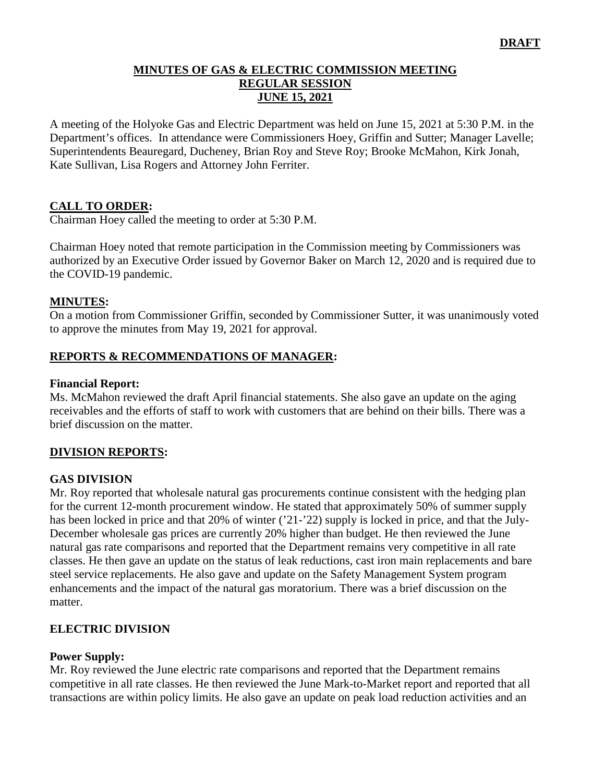### **MINUTES OF GAS & ELECTRIC COMMISSION MEETING REGULAR SESSION JUNE 15, 2021**

A meeting of the Holyoke Gas and Electric Department was held on June 15, 2021 at 5:30 P.M. in the Department's offices. In attendance were Commissioners Hoey, Griffin and Sutter; Manager Lavelle; Superintendents Beauregard, Ducheney, Brian Roy and Steve Roy; Brooke McMahon, Kirk Jonah, Kate Sullivan, Lisa Rogers and Attorney John Ferriter.

## **CALL TO ORDER:**

Chairman Hoey called the meeting to order at 5:30 P.M.

Chairman Hoey noted that remote participation in the Commission meeting by Commissioners was authorized by an Executive Order issued by Governor Baker on March 12, 2020 and is required due to the COVID-19 pandemic.

### **MINUTES:**

On a motion from Commissioner Griffin, seconded by Commissioner Sutter, it was unanimously voted to approve the minutes from May 19, 2021 for approval.

### **REPORTS & RECOMMENDATIONS OF MANAGER:**

#### **Financial Report:**

Ms. McMahon reviewed the draft April financial statements. She also gave an update on the aging receivables and the efforts of staff to work with customers that are behind on their bills. There was a brief discussion on the matter.

### **DIVISION REPORTS:**

#### **GAS DIVISION**

Mr. Roy reported that wholesale natural gas procurements continue consistent with the hedging plan for the current 12-month procurement window. He stated that approximately 50% of summer supply has been locked in price and that 20% of winter ('21-'22) supply is locked in price, and that the July-December wholesale gas prices are currently 20% higher than budget. He then reviewed the June natural gas rate comparisons and reported that the Department remains very competitive in all rate classes. He then gave an update on the status of leak reductions, cast iron main replacements and bare steel service replacements. He also gave and update on the Safety Management System program enhancements and the impact of the natural gas moratorium. There was a brief discussion on the matter.

### **ELECTRIC DIVISION**

#### **Power Supply:**

Mr. Roy reviewed the June electric rate comparisons and reported that the Department remains competitive in all rate classes. He then reviewed the June Mark-to-Market report and reported that all transactions are within policy limits. He also gave an update on peak load reduction activities and an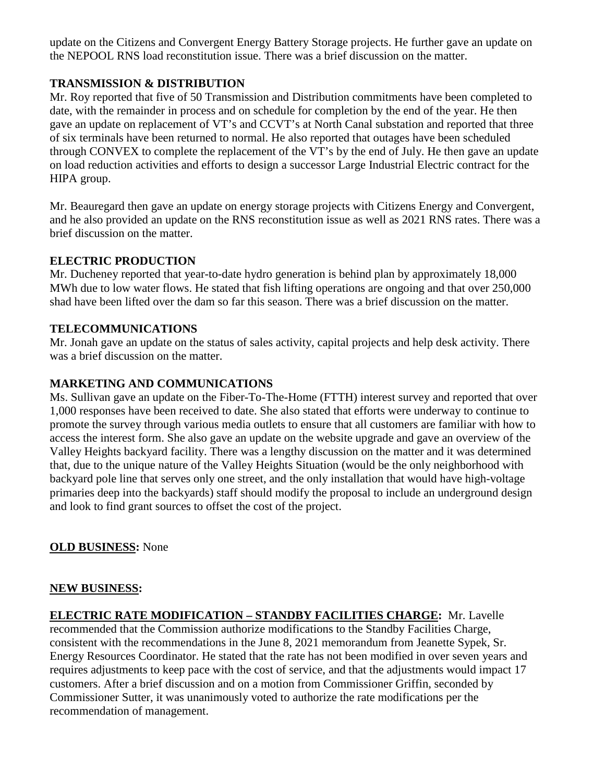update on the Citizens and Convergent Energy Battery Storage projects. He further gave an update on the NEPOOL RNS load reconstitution issue. There was a brief discussion on the matter.

## **TRANSMISSION & DISTRIBUTION**

Mr. Roy reported that five of 50 Transmission and Distribution commitments have been completed to date, with the remainder in process and on schedule for completion by the end of the year. He then gave an update on replacement of VT's and CCVT's at North Canal substation and reported that three of six terminals have been returned to normal. He also reported that outages have been scheduled through CONVEX to complete the replacement of the VT's by the end of July. He then gave an update on load reduction activities and efforts to design a successor Large Industrial Electric contract for the HIPA group.

Mr. Beauregard then gave an update on energy storage projects with Citizens Energy and Convergent, and he also provided an update on the RNS reconstitution issue as well as 2021 RNS rates. There was a brief discussion on the matter.

## **ELECTRIC PRODUCTION**

Mr. Ducheney reported that year-to-date hydro generation is behind plan by approximately 18,000 MWh due to low water flows. He stated that fish lifting operations are ongoing and that over 250,000 shad have been lifted over the dam so far this season. There was a brief discussion on the matter.

## **TELECOMMUNICATIONS**

Mr. Jonah gave an update on the status of sales activity, capital projects and help desk activity. There was a brief discussion on the matter.

## **MARKETING AND COMMUNICATIONS**

Ms. Sullivan gave an update on the Fiber-To-The-Home (FTTH) interest survey and reported that over 1,000 responses have been received to date. She also stated that efforts were underway to continue to promote the survey through various media outlets to ensure that all customers are familiar with how to access the interest form. She also gave an update on the website upgrade and gave an overview of the Valley Heights backyard facility. There was a lengthy discussion on the matter and it was determined that, due to the unique nature of the Valley Heights Situation (would be the only neighborhood with backyard pole line that serves only one street, and the only installation that would have high-voltage primaries deep into the backyards) staff should modify the proposal to include an underground design and look to find grant sources to offset the cost of the project.

## **OLD BUSINESS:** None

### **NEW BUSINESS:**

**ELECTRIC RATE MODIFICATION – STANDBY FACILITIES CHARGE:** Mr. Lavelle recommended that the Commission authorize modifications to the Standby Facilities Charge, consistent with the recommendations in the June 8, 2021 memorandum from Jeanette Sypek, Sr. Energy Resources Coordinator. He stated that the rate has not been modified in over seven years and requires adjustments to keep pace with the cost of service, and that the adjustments would impact 17 customers. After a brief discussion and on a motion from Commissioner Griffin, seconded by Commissioner Sutter, it was unanimously voted to authorize the rate modifications per the recommendation of management.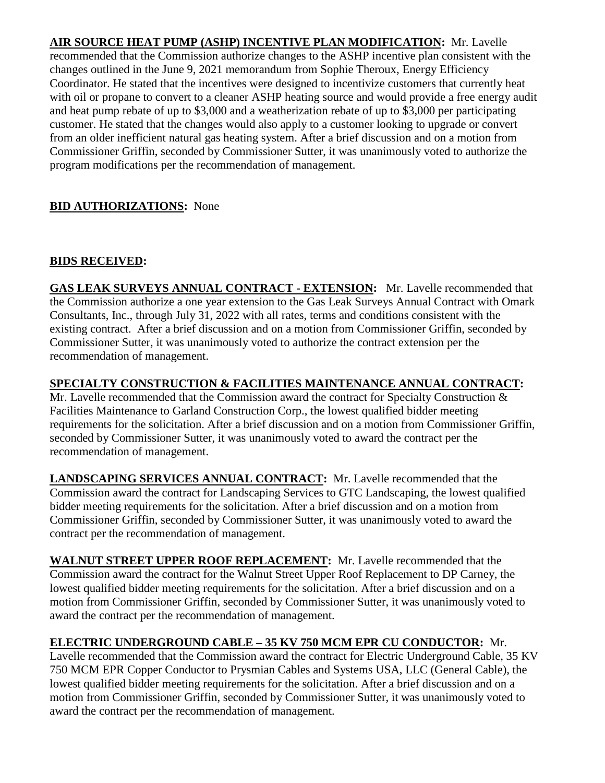**AIR SOURCE HEAT PUMP (ASHP) INCENTIVE PLAN MODIFICATION:** Mr. Lavelle recommended that the Commission authorize changes to the ASHP incentive plan consistent with the changes outlined in the June 9, 2021 memorandum from Sophie Theroux, Energy Efficiency Coordinator. He stated that the incentives were designed to incentivize customers that currently heat with oil or propane to convert to a cleaner ASHP heating source and would provide a free energy audit and heat pump rebate of up to \$3,000 and a weatherization rebate of up to \$3,000 per participating customer. He stated that the changes would also apply to a customer looking to upgrade or convert from an older inefficient natural gas heating system. After a brief discussion and on a motion from Commissioner Griffin, seconded by Commissioner Sutter, it was unanimously voted to authorize the program modifications per the recommendation of management.

# **BID AUTHORIZATIONS:** None

# **BIDS RECEIVED:**

**GAS LEAK SURVEYS ANNUAL CONTRACT - EXTENSION:** Mr. Lavelle recommended that the Commission authorize a one year extension to the Gas Leak Surveys Annual Contract with Omark Consultants, Inc., through July 31, 2022 with all rates, terms and conditions consistent with the existing contract. After a brief discussion and on a motion from Commissioner Griffin, seconded by Commissioner Sutter, it was unanimously voted to authorize the contract extension per the recommendation of management.

**SPECIALTY CONSTRUCTION & FACILITIES MAINTENANCE ANNUAL CONTRACT:** 

Mr. Lavelle recommended that the Commission award the contract for Specialty Construction & Facilities Maintenance to Garland Construction Corp., the lowest qualified bidder meeting requirements for the solicitation. After a brief discussion and on a motion from Commissioner Griffin, seconded by Commissioner Sutter, it was unanimously voted to award the contract per the recommendation of management.

**LANDSCAPING SERVICES ANNUAL CONTRACT:** Mr. Lavelle recommended that the Commission award the contract for Landscaping Services to GTC Landscaping, the lowest qualified bidder meeting requirements for the solicitation. After a brief discussion and on a motion from Commissioner Griffin, seconded by Commissioner Sutter, it was unanimously voted to award the contract per the recommendation of management.

**WALNUT STREET UPPER ROOF REPLACEMENT:** Mr. Lavelle recommended that the Commission award the contract for the Walnut Street Upper Roof Replacement to DP Carney, the lowest qualified bidder meeting requirements for the solicitation. After a brief discussion and on a motion from Commissioner Griffin, seconded by Commissioner Sutter, it was unanimously voted to award the contract per the recommendation of management.

# **ELECTRIC UNDERGROUND CABLE – 35 KV 750 MCM EPR CU CONDUCTOR:** Mr.

Lavelle recommended that the Commission award the contract for Electric Underground Cable, 35 KV 750 MCM EPR Copper Conductor to Prysmian Cables and Systems USA, LLC (General Cable), the lowest qualified bidder meeting requirements for the solicitation. After a brief discussion and on a motion from Commissioner Griffin, seconded by Commissioner Sutter, it was unanimously voted to award the contract per the recommendation of management.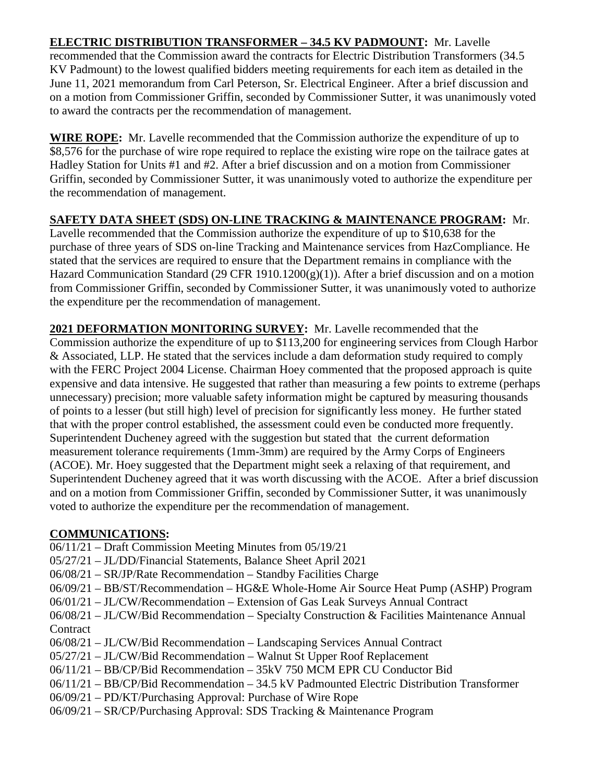### **ELECTRIC DISTRIBUTION TRANSFORMER – 34.5 KV PADMOUNT:** Mr. Lavelle recommended that the Commission award the contracts for Electric Distribution Transformers (34.5 KV Padmount) to the lowest qualified bidders meeting requirements for each item as detailed in the June 11, 2021 memorandum from Carl Peterson, Sr. Electrical Engineer. After a brief discussion and on a motion from Commissioner Griffin, seconded by Commissioner Sutter, it was unanimously voted to award the contracts per the recommendation of management.

**WIRE ROPE:** Mr. Lavelle recommended that the Commission authorize the expenditure of up to \$8,576 for the purchase of wire rope required to replace the existing wire rope on the tailrace gates at Hadley Station for Units #1 and #2. After a brief discussion and on a motion from Commissioner Griffin, seconded by Commissioner Sutter, it was unanimously voted to authorize the expenditure per the recommendation of management.

## **SAFETY DATA SHEET (SDS) ON-LINE TRACKING & MAINTENANCE PROGRAM:** Mr.

Lavelle recommended that the Commission authorize the expenditure of up to \$10,638 for the purchase of three years of SDS on-line Tracking and Maintenance services from HazCompliance. He stated that the services are required to ensure that the Department remains in compliance with the Hazard Communication Standard (29 CFR 1910.1200(g)(1)). After a brief discussion and on a motion from Commissioner Griffin, seconded by Commissioner Sutter, it was unanimously voted to authorize the expenditure per the recommendation of management.

**2021 DEFORMATION MONITORING SURVEY:** Mr. Lavelle recommended that the Commission authorize the expenditure of up to \$113,200 for engineering services from Clough Harbor & Associated, LLP. He stated that the services include a dam deformation study required to comply with the FERC Project 2004 License. Chairman Hoey commented that the proposed approach is quite expensive and data intensive. He suggested that rather than measuring a few points to extreme (perhaps unnecessary) precision; more valuable safety information might be captured by measuring thousands of points to a lesser (but still high) level of precision for significantly less money. He further stated that with the proper control established, the assessment could even be conducted more frequently. Superintendent Ducheney agreed with the suggestion but stated that the current deformation measurement tolerance requirements (1mm-3mm) are required by the Army Corps of Engineers (ACOE). Mr. Hoey suggested that the Department might seek a relaxing of that requirement, and Superintendent Ducheney agreed that it was worth discussing with the ACOE. After a brief discussion and on a motion from Commissioner Griffin, seconded by Commissioner Sutter, it was unanimously voted to authorize the expenditure per the recommendation of management.

## **COMMUNICATIONS:**

- 06/11/21 Draft Commission Meeting Minutes from 05/19/21
- 05/27/21 JL/DD/Financial Statements, Balance Sheet April 2021
- 06/08/21 SR/JP/Rate Recommendation Standby Facilities Charge
- 06/09/21 BB/ST/Recommendation HG&E Whole-Home Air Source Heat Pump (ASHP) Program
- 06/01/21 JL/CW/Recommendation Extension of Gas Leak Surveys Annual Contract
- 06/08/21 JL/CW/Bid Recommendation Specialty Construction & Facilities Maintenance Annual **Contract**
- 06/08/21 JL/CW/Bid Recommendation Landscaping Services Annual Contract
- 05/27/21 JL/CW/Bid Recommendation Walnut St Upper Roof Replacement
- 06/11/21 BB/CP/Bid Recommendation 35kV 750 MCM EPR CU Conductor Bid
- 06/11/21 BB/CP/Bid Recommendation 34.5 kV Padmounted Electric Distribution Transformer
- 06/09/21 PD/KT/Purchasing Approval: Purchase of Wire Rope
- 06/09/21 SR/CP/Purchasing Approval: SDS Tracking & Maintenance Program